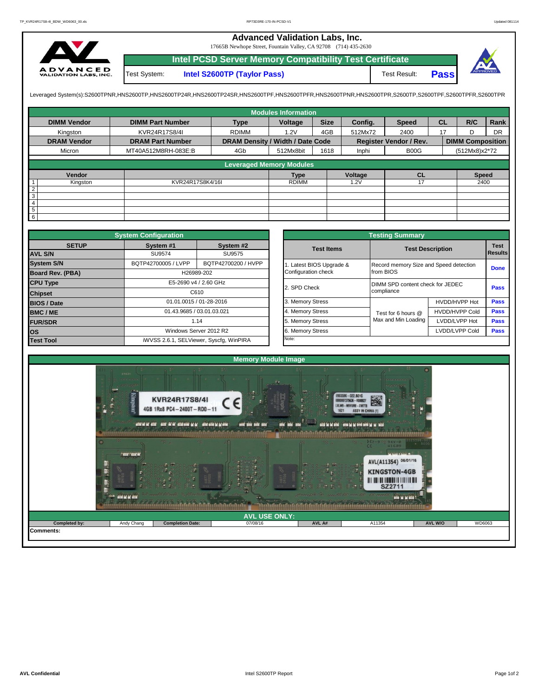## **Advanced Validation Labs, Inc.**

17665B Newhope Street, Fountain Valley, CA 92708 (714) 435-2630



**Intel PCSD Server Memory Compatibility Test Certificate Pass** Test System: **Intel S2600TP (Taylor Pass)** Test Result:

Leveraged System(s):S2600TPNR,HNS2600TP,HNS2600TP24R,HNS2600TP24SR,HNS2600TPF,HNS2600TPRR,HNS2600TPR,S2600TPR,S2600TPR,S2600TPR,S2600TPR,S2600TPFR,S2600TPFR,

|                    |                         |                                  | <b>Modules Information</b> |             |         |                               |           |                         |           |
|--------------------|-------------------------|----------------------------------|----------------------------|-------------|---------|-------------------------------|-----------|-------------------------|-----------|
| <b>DIMM Vendor</b> | <b>DIMM Part Number</b> | <b>Type</b>                      | Voltage                    | <b>Size</b> | Config. | <b>Speed</b>                  | <b>CL</b> | R/C                     | Rank      |
| Kingston           | KVR24R17S8/4I           | <b>RDIMM</b>                     | 1.2V                       | 4GB         | 512Mx72 | 2400                          | 17        | D                       | <b>DR</b> |
| <b>DRAM Vendor</b> | <b>DRAM Part Number</b> | DRAM Density / Width / Date Code |                            |             |         | <b>Register Vendor / Rev.</b> |           | <b>DIMM Composition</b> |           |
| Micron             | MT40A512M8RH-083E:B     | 4Gb                              | 512Mx8bit                  | 1618        | Inphi   | B00G                          |           | (512Mx8)x2*72           |           |
|                    |                         | <b>Leveraged Memory Modules</b>  |                            |             |         |                               |           |                         |           |
| Vendor             |                         |                                  | <b>Type</b>                |             | Voltage | <b>CL</b>                     |           | <b>Speed</b>            |           |
| Kingston           | KVR24R17S8K4/16I        |                                  | <b>RDIMM</b>               |             | 1.2V    | 17                            |           | 2400                    |           |
| $\overline{2}$     |                         |                                  |                            |             |         |                               |           |                         |           |
| $\overline{3}$     |                         |                                  |                            |             |         |                               |           |                         |           |
| 4                  |                         |                                  |                            |             |         |                               |           |                         |           |
| $\overline{5}$     |                         |                                  |                            |             |         |                               |           |                         |           |
| $6\overline{6}$    |                         |                                  |                            |             |         |                               |           |                         |           |

|                         | <b>System Configuration</b> |                                         |              |                       | <b>Testing Summary</b>                 |                         |             |  |  |
|-------------------------|-----------------------------|-----------------------------------------|--------------|-----------------------|----------------------------------------|-------------------------|-------------|--|--|
| <b>SETUP</b>            | System #1                   | System #2                               |              | <b>Test Items</b>     |                                        | <b>Test Description</b> | <b>Test</b> |  |  |
| <b>AVL S/N</b>          | SU9574                      | SU9575                                  |              |                       |                                        |                         | Results     |  |  |
| <b>System S/N</b>       | BQTP42700005 / LVPP         | BQTP42700200 / HVPP                     |              | Latest BIOS Upgrade & | Record memory Size and Speed detection |                         | <b>Done</b> |  |  |
| <b>Board Rev. (PBA)</b> | H26989-202                  |                                         |              |                       | from BIOS                              |                         |             |  |  |
| <b>CPU Type</b>         | E5-2690 v4 / 2.60 GHz       |                                         | 2. SPD Check |                       | DIMM SPD content check for JEDEC       |                         |             |  |  |
| <b>Chipset</b>          |                             | C610                                    |              |                       | compliance                             |                         | <b>Pass</b> |  |  |
| <b>BIOS / Date</b>      |                             | 01.01.0015 / 01-28-2016                 |              | 3. Memory Stress      |                                        | HVDD/HVPP Hot           | <b>Pass</b> |  |  |
| <b>BMC/ME</b>           |                             | 01.43.9685 / 03.01.03.021               |              | 4. Memory Stress      | Test for 6 hours @                     | <b>HVDD/HVPP Cold</b>   | Pass        |  |  |
| <b>FUR/SDR</b>          | 1.14                        |                                         |              | 5. Memory Stress      | Max and Min Loading                    | LVDD/LVPP Hot           | <b>Pass</b> |  |  |
| los                     |                             | Windows Server 2012 R2                  |              | 6. Memory Stress      |                                        | LVDD/LVPP Cold          | Pass        |  |  |
| <b>Test Tool</b>        |                             | iWVSS 2.6.1, SELViewer, Syscfq, WinPIRA |              | Note:                 |                                        |                         |             |  |  |

|              | <b>System Configuration</b>             |                         |                       | <b>Testing Summary</b>                 |                       |                |  |
|--------------|-----------------------------------------|-------------------------|-----------------------|----------------------------------------|-----------------------|----------------|--|
| <b>SETUP</b> | System #1                               | System #2               | <b>Test Items</b>     | <b>Test Description</b>                |                       |                |  |
|              | SU9574                                  | SU9575                  |                       |                                        |                       | <b>Results</b> |  |
|              | BQTP42700005 / LVPP                     | BQTP42700200 / HVPP     | Latest BIOS Upgrade & | Record memory Size and Speed detection |                       |                |  |
| PBA)         |                                         | H26989-202              | Configuration check   | from BIOS                              |                       | <b>Done</b>    |  |
|              |                                         | E5-2690 v4 / 2.60 GHz   | 2. SPD Check          | DIMM SPD content check for JEDEC       |                       |                |  |
|              |                                         | C610                    |                       | compliance                             |                       | Pass           |  |
|              |                                         | 01.01.0015 / 01-28-2016 | 3. Memory Stress      |                                        | HVDD/HVPP Hot         | Pass           |  |
|              | 01.43.9685 / 03.01.03.021               |                         | 4. Memory Stress      | Test for 6 hours @                     | <b>HVDD/HVPP Cold</b> | Pass           |  |
|              |                                         | 1.14                    | 5. Memory Stress      | Max and Min Loading                    | LVDD/LVPP Hot         | <b>Pass</b>    |  |
|              |                                         | Windows Server 2012 R2  | 6. Memory Stress      |                                        | LVDD/LVPP Cold        | <b>Pass</b>    |  |
|              | iWVSS 2.6.1, SELViewer, Syscfg, WinPIRA |                         | Note:                 |                                        |                       |                |  |